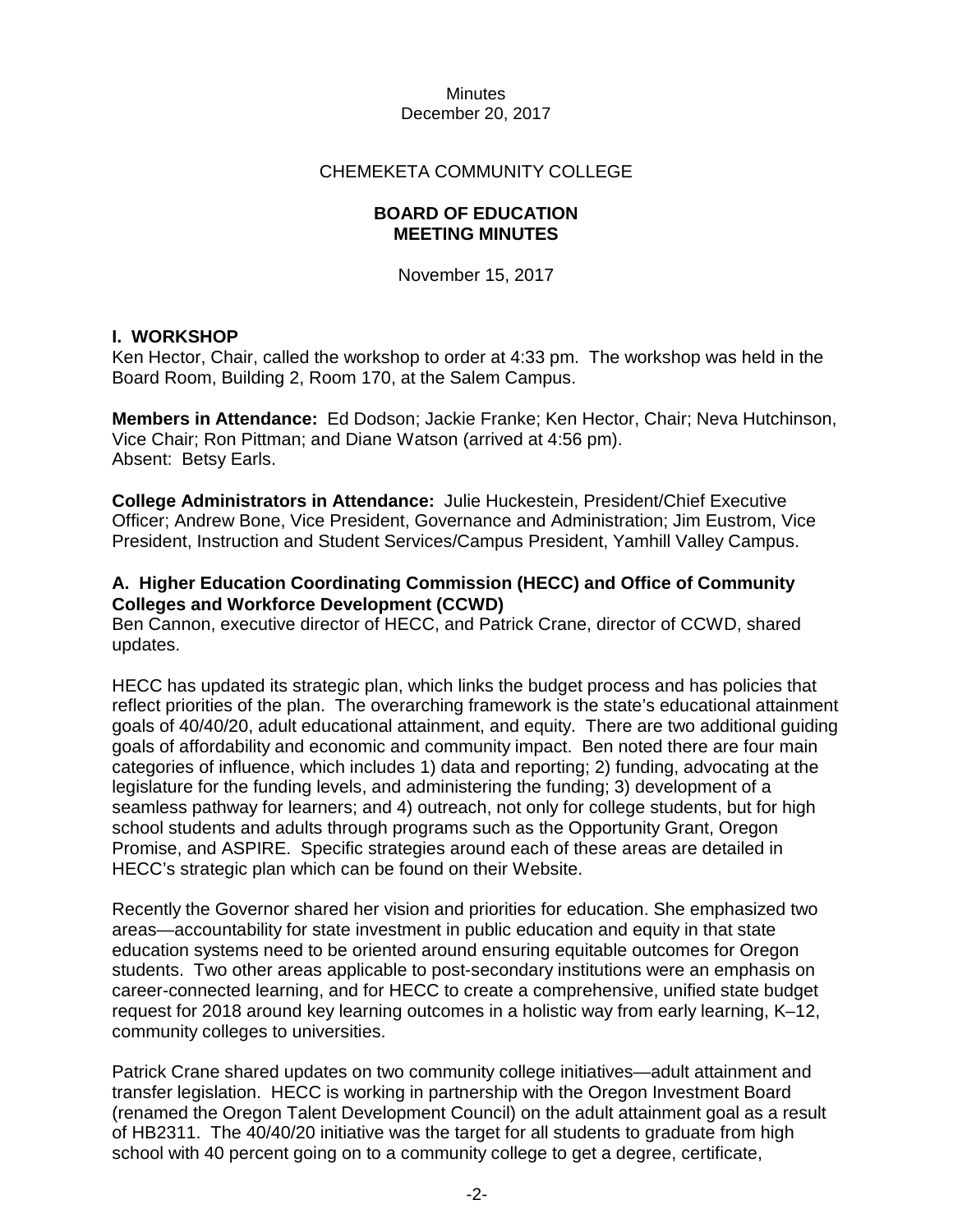# CHEMEKETA COMMUNITY COLLEGE

# **BOARD OF EDUCATION MEETING MINUTES**

November 15, 2017

#### **I. WORKSHOP**

Ken Hector, Chair, called the workshop to order at 4:33 pm. The workshop was held in the Board Room, Building 2, Room 170, at the Salem Campus.

**Members in Attendance:** Ed Dodson; Jackie Franke; Ken Hector, Chair; Neva Hutchinson, Vice Chair; Ron Pittman; and Diane Watson (arrived at 4:56 pm). Absent: Betsy Earls.

**College Administrators in Attendance:** Julie Huckestein, President/Chief Executive Officer; Andrew Bone, Vice President, Governance and Administration; Jim Eustrom, Vice President, Instruction and Student Services/Campus President, Yamhill Valley Campus.

# **A. Higher Education Coordinating Commission (HECC) and Office of Community Colleges and Workforce Development (CCWD)**

Ben Cannon, executive director of HECC, and Patrick Crane, director of CCWD, shared updates.

HECC has updated its strategic plan, which links the budget process and has policies that reflect priorities of the plan. The overarching framework is the state's educational attainment goals of 40/40/20, adult educational attainment, and equity. There are two additional guiding goals of affordability and economic and community impact. Ben noted there are four main categories of influence, which includes 1) data and reporting; 2) funding, advocating at the legislature for the funding levels, and administering the funding; 3) development of a seamless pathway for learners; and 4) outreach, not only for college students, but for high school students and adults through programs such as the Opportunity Grant, Oregon Promise, and ASPIRE. Specific strategies around each of these areas are detailed in HECC's strategic plan which can be found on their Website.

Recently the Governor shared her vision and priorities for education. She emphasized two areas—accountability for state investment in public education and equity in that state education systems need to be oriented around ensuring equitable outcomes for Oregon students. Two other areas applicable to post-secondary institutions were an emphasis on career-connected learning, and for HECC to create a comprehensive, unified state budget request for 2018 around key learning outcomes in a holistic way from early learning, K–12, community colleges to universities.

Patrick Crane shared updates on two community college initiatives—adult attainment and transfer legislation. HECC is working in partnership with the Oregon Investment Board (renamed the Oregon Talent Development Council) on the adult attainment goal as a result of HB2311. The 40/40/20 initiative was the target for all students to graduate from high school with 40 percent going on to a community college to get a degree, certificate,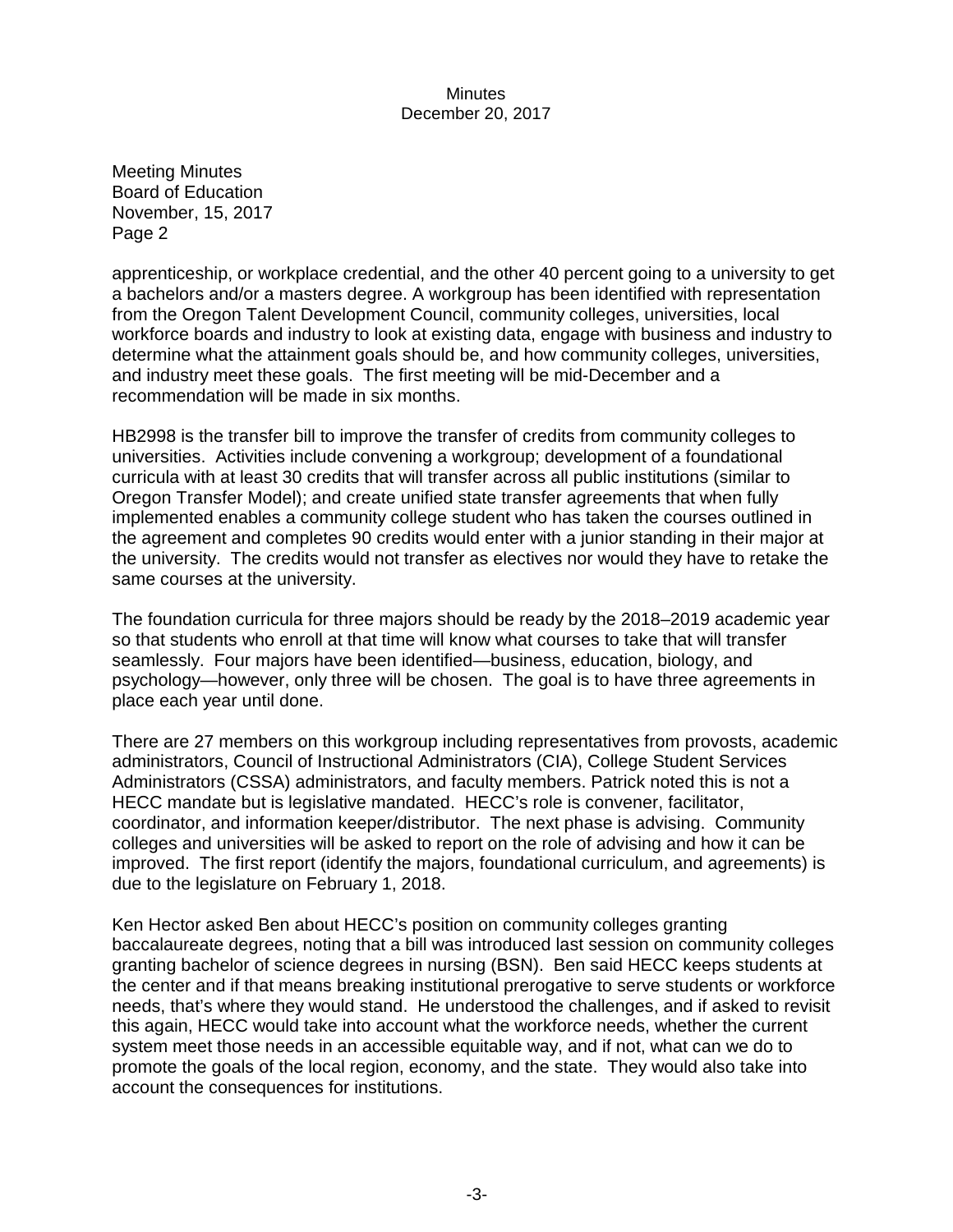apprenticeship, or workplace credential, and the other 40 percent going to a university to get a bachelors and/or a masters degree. A workgroup has been identified with representation from the Oregon Talent Development Council, community colleges, universities, local workforce boards and industry to look at existing data, engage with business and industry to determine what the attainment goals should be, and how community colleges, universities, and industry meet these goals. The first meeting will be mid-December and a recommendation will be made in six months.

HB2998 is the transfer bill to improve the transfer of credits from community colleges to universities. Activities include convening a workgroup; development of a foundational curricula with at least 30 credits that will transfer across all public institutions (similar to Oregon Transfer Model); and create unified state transfer agreements that when fully implemented enables a community college student who has taken the courses outlined in the agreement and completes 90 credits would enter with a junior standing in their major at the university. The credits would not transfer as electives nor would they have to retake the same courses at the university.

The foundation curricula for three majors should be ready by the 2018–2019 academic year so that students who enroll at that time will know what courses to take that will transfer seamlessly. Four majors have been identified—business, education, biology, and psychology—however, only three will be chosen. The goal is to have three agreements in place each year until done.

There are 27 members on this workgroup including representatives from provosts, academic administrators, Council of Instructional Administrators (CIA), College Student Services Administrators (CSSA) administrators, and faculty members. Patrick noted this is not a HECC mandate but is legislative mandated. HECC's role is convener, facilitator, coordinator, and information keeper/distributor. The next phase is advising. Community colleges and universities will be asked to report on the role of advising and how it can be improved. The first report (identify the majors, foundational curriculum, and agreements) is due to the legislature on February 1, 2018.

Ken Hector asked Ben about HECC's position on community colleges granting baccalaureate degrees, noting that a bill was introduced last session on community colleges granting bachelor of science degrees in nursing (BSN). Ben said HECC keeps students at the center and if that means breaking institutional prerogative to serve students or workforce needs, that's where they would stand. He understood the challenges, and if asked to revisit this again, HECC would take into account what the workforce needs, whether the current system meet those needs in an accessible equitable way, and if not, what can we do to promote the goals of the local region, economy, and the state. They would also take into account the consequences for institutions.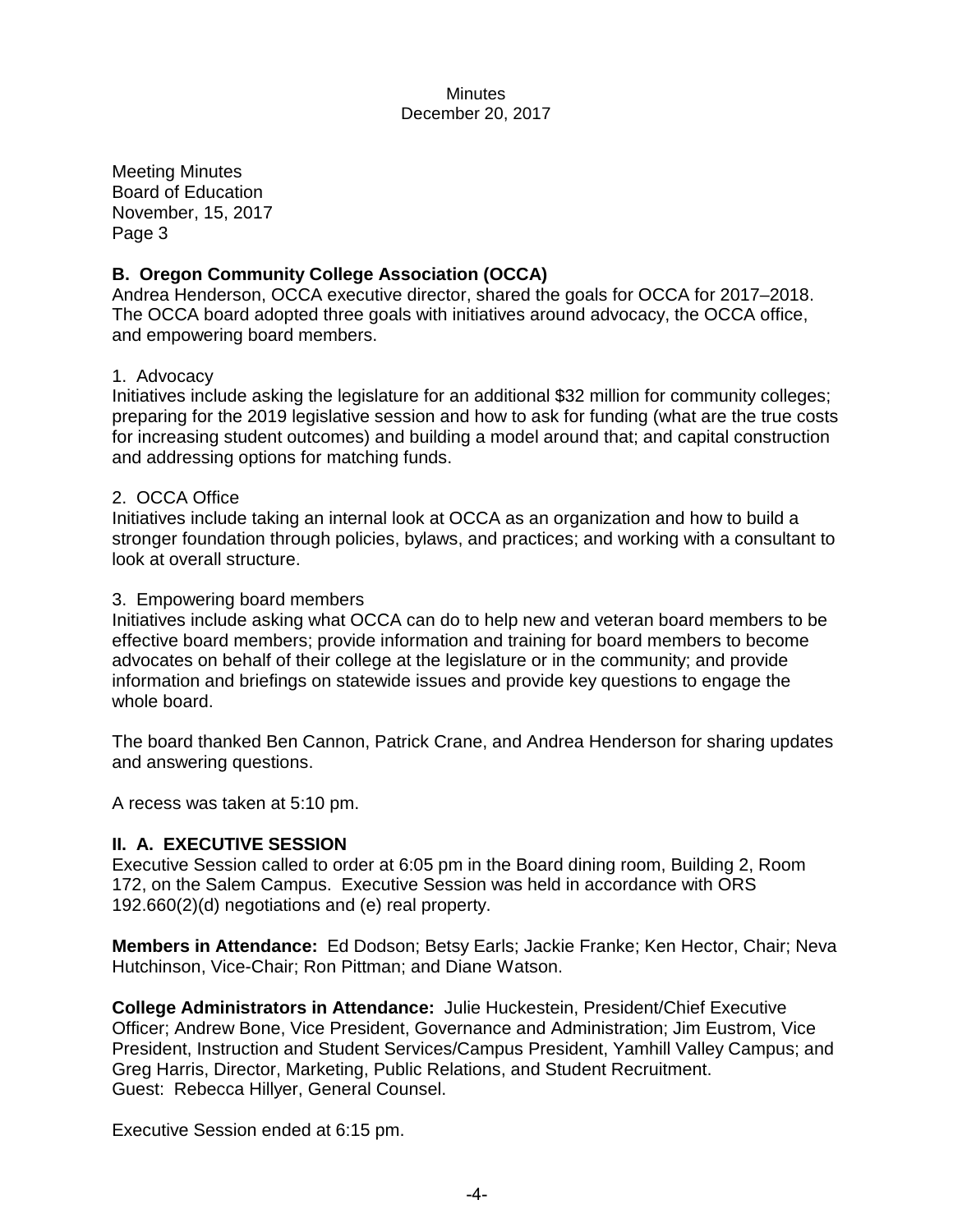# **B. Oregon Community College Association (OCCA)**

Andrea Henderson, OCCA executive director, shared the goals for OCCA for 2017–2018. The OCCA board adopted three goals with initiatives around advocacy, the OCCA office, and empowering board members.

# 1. Advocacy

Initiatives include asking the legislature for an additional \$32 million for community colleges; preparing for the 2019 legislative session and how to ask for funding (what are the true costs for increasing student outcomes) and building a model around that; and capital construction and addressing options for matching funds.

#### 2. OCCA Office

Initiatives include taking an internal look at OCCA as an organization and how to build a stronger foundation through policies, bylaws, and practices; and working with a consultant to look at overall structure.

#### 3. Empowering board members

Initiatives include asking what OCCA can do to help new and veteran board members to be effective board members; provide information and training for board members to become advocates on behalf of their college at the legislature or in the community; and provide information and briefings on statewide issues and provide key questions to engage the whole board.

The board thanked Ben Cannon, Patrick Crane, and Andrea Henderson for sharing updates and answering questions.

A recess was taken at 5:10 pm.

# **II. A. EXECUTIVE SESSION**

Executive Session called to order at 6:05 pm in the Board dining room, Building 2, Room 172, on the Salem Campus. Executive Session was held in accordance with ORS 192.660(2)(d) negotiations and (e) real property.

**Members in Attendance:** Ed Dodson; Betsy Earls; Jackie Franke; Ken Hector, Chair; Neva Hutchinson, Vice-Chair; Ron Pittman; and Diane Watson.

**College Administrators in Attendance:** Julie Huckestein, President/Chief Executive Officer; Andrew Bone, Vice President, Governance and Administration; Jim Eustrom, Vice President, Instruction and Student Services/Campus President, Yamhill Valley Campus; and Greg Harris, Director, Marketing, Public Relations, and Student Recruitment. Guest: Rebecca Hillyer, General Counsel.

Executive Session ended at 6:15 pm.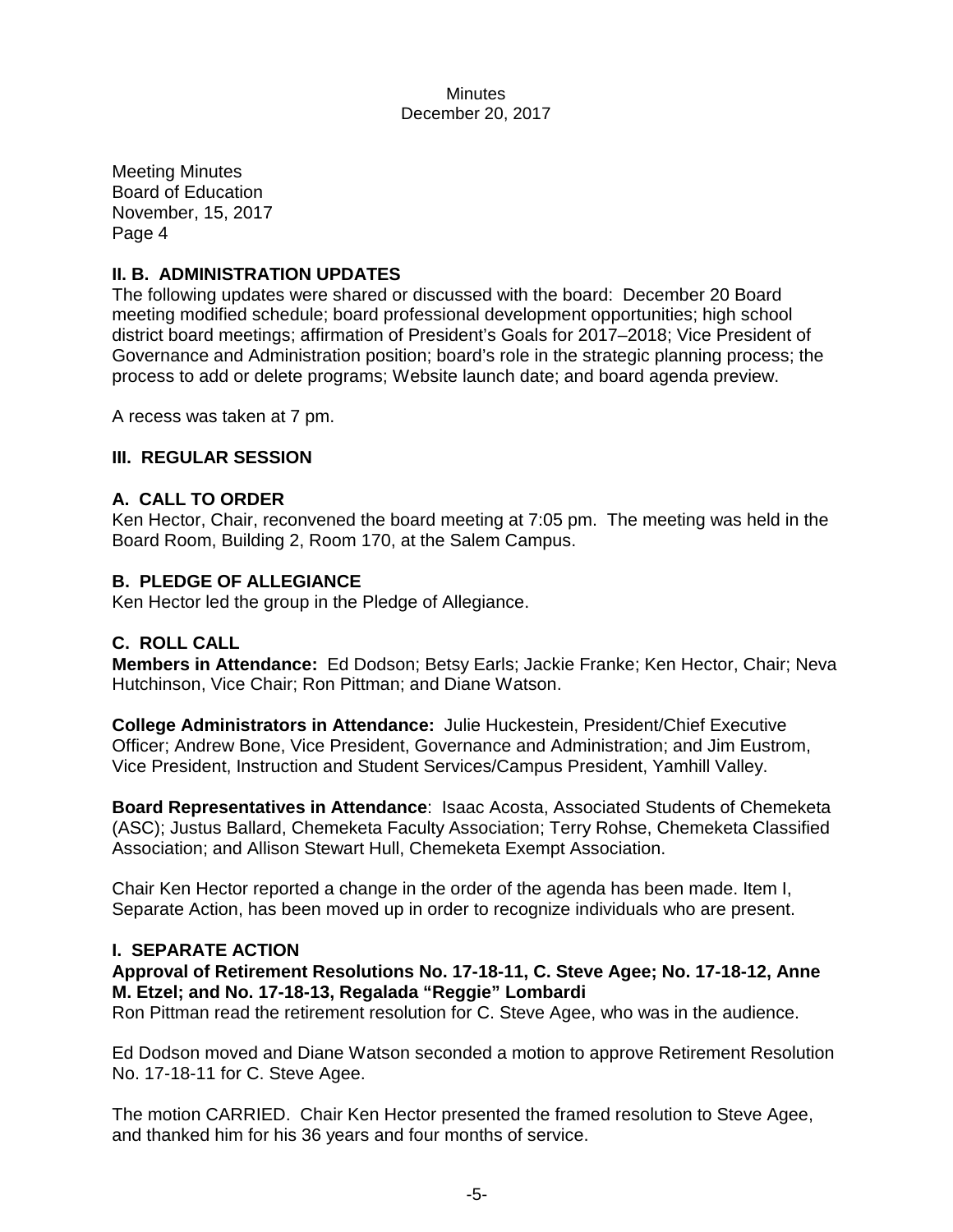Meeting Minutes Board of Education November, 15, 2017 Page 4

# **II. B. ADMINISTRATION UPDATES**

The following updates were shared or discussed with the board: December 20 Board meeting modified schedule; board professional development opportunities; high school district board meetings; affirmation of President's Goals for 2017–2018; Vice President of Governance and Administration position; board's role in the strategic planning process; the process to add or delete programs; Website launch date; and board agenda preview.

A recess was taken at 7 pm.

# **III. REGULAR SESSION**

#### **A. CALL TO ORDER**

Ken Hector, Chair, reconvened the board meeting at 7:05 pm. The meeting was held in the Board Room, Building 2, Room 170, at the Salem Campus.

# **B. PLEDGE OF ALLEGIANCE**

Ken Hector led the group in the Pledge of Allegiance.

# **C. ROLL CALL**

**Members in Attendance:** Ed Dodson; Betsy Earls; Jackie Franke; Ken Hector, Chair; Neva Hutchinson, Vice Chair; Ron Pittman; and Diane Watson.

**College Administrators in Attendance:** Julie Huckestein, President/Chief Executive Officer; Andrew Bone, Vice President, Governance and Administration; and Jim Eustrom, Vice President, Instruction and Student Services/Campus President, Yamhill Valley.

**Board Representatives in Attendance**: Isaac Acosta, Associated Students of Chemeketa (ASC); Justus Ballard, Chemeketa Faculty Association; Terry Rohse, Chemeketa Classified Association; and Allison Stewart Hull, Chemeketa Exempt Association.

Chair Ken Hector reported a change in the order of the agenda has been made. Item I, Separate Action, has been moved up in order to recognize individuals who are present.

#### **I. SEPARATE ACTION**

# **Approval of Retirement Resolutions No. 17-18-11, C. Steve Agee; No. 17-18-12, Anne M. Etzel; and No. 17-18-13, Regalada "Reggie" Lombardi**

Ron Pittman read the retirement resolution for C. Steve Agee, who was in the audience.

Ed Dodson moved and Diane Watson seconded a motion to approve Retirement Resolution No. 17-18-11 for C. Steve Agee.

The motion CARRIED. Chair Ken Hector presented the framed resolution to Steve Agee, and thanked him for his 36 years and four months of service.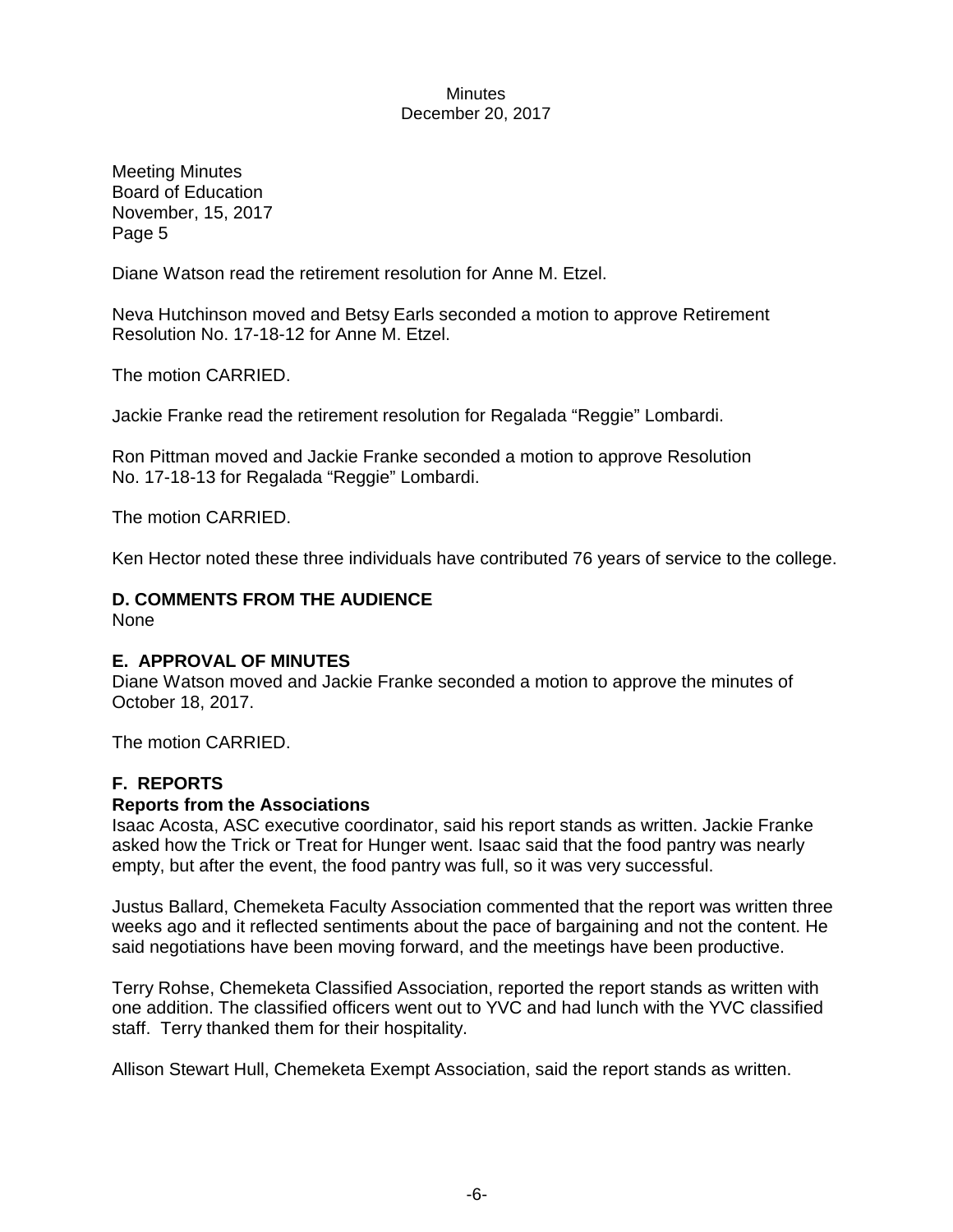Meeting Minutes Board of Education November, 15, 2017 Page 5

Diane Watson read the retirement resolution for Anne M. Etzel.

Neva Hutchinson moved and Betsy Earls seconded a motion to approve Retirement Resolution No. 17-18-12 for Anne M. Etzel.

The motion CARRIED.

Jackie Franke read the retirement resolution for Regalada "Reggie" Lombardi.

Ron Pittman moved and Jackie Franke seconded a motion to approve Resolution No. 17-18-13 for Regalada "Reggie" Lombardi.

The motion CARRIED.

Ken Hector noted these three individuals have contributed 76 years of service to the college.

# **D. COMMENTS FROM THE AUDIENCE**

None

# **E. APPROVAL OF MINUTES**

Diane Watson moved and Jackie Franke seconded a motion to approve the minutes of October 18, 2017.

The motion CARRIED.

# **F. REPORTS**

# **Reports from the Associations**

Isaac Acosta, ASC executive coordinator, said his report stands as written. Jackie Franke asked how the Trick or Treat for Hunger went. Isaac said that the food pantry was nearly empty, but after the event, the food pantry was full, so it was very successful.

Justus Ballard, Chemeketa Faculty Association commented that the report was written three weeks ago and it reflected sentiments about the pace of bargaining and not the content. He said negotiations have been moving forward, and the meetings have been productive.

Terry Rohse, Chemeketa Classified Association, reported the report stands as written with one addition. The classified officers went out to YVC and had lunch with the YVC classified staff. Terry thanked them for their hospitality.

Allison Stewart Hull, Chemeketa Exempt Association, said the report stands as written.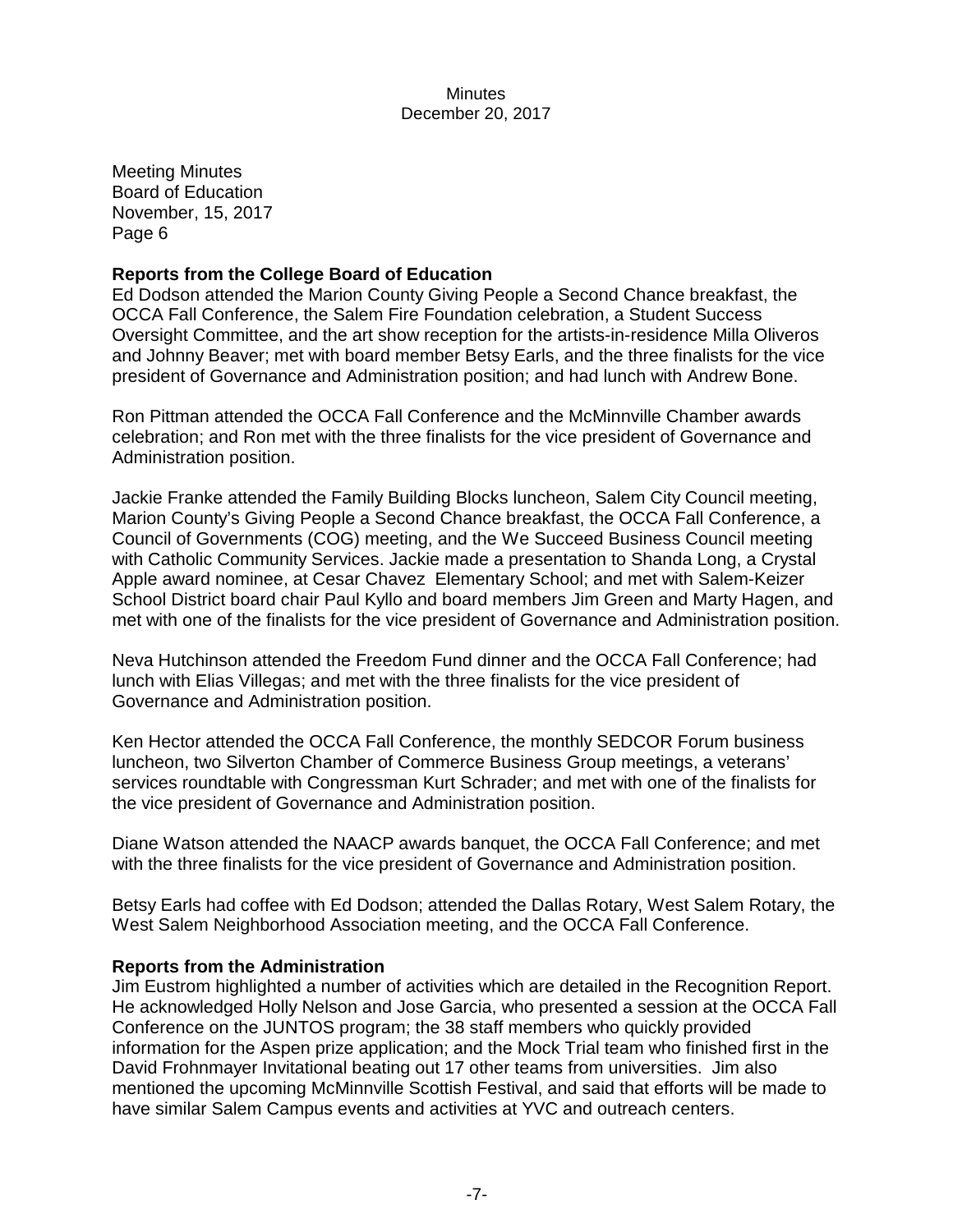#### **Reports from the College Board of Education**

Ed Dodson attended the Marion County Giving People a Second Chance breakfast, the OCCA Fall Conference, the Salem Fire Foundation celebration, a Student Success Oversight Committee, and the art show reception for the artists-in-residence Milla Oliveros and Johnny Beaver; met with board member Betsy Earls, and the three finalists for the vice president of Governance and Administration position; and had lunch with Andrew Bone.

Ron Pittman attended the OCCA Fall Conference and the McMinnville Chamber awards celebration; and Ron met with the three finalists for the vice president of Governance and Administration position.

Jackie Franke attended the Family Building Blocks luncheon, Salem City Council meeting, Marion County's Giving People a Second Chance breakfast, the OCCA Fall Conference, a Council of Governments (COG) meeting, and the We Succeed Business Council meeting with Catholic Community Services. Jackie made a presentation to Shanda Long, a Crystal Apple award nominee, at Cesar Chavez Elementary School; and met with Salem-Keizer School District board chair Paul Kyllo and board members Jim Green and Marty Hagen, and met with one of the finalists for the vice president of Governance and Administration position.

Neva Hutchinson attended the Freedom Fund dinner and the OCCA Fall Conference; had lunch with Elias Villegas; and met with the three finalists for the vice president of Governance and Administration position.

Ken Hector attended the OCCA Fall Conference, the monthly SEDCOR Forum business luncheon, two Silverton Chamber of Commerce Business Group meetings, a veterans' services roundtable with Congressman Kurt Schrader; and met with one of the finalists for the vice president of Governance and Administration position.

Diane Watson attended the NAACP awards banquet, the OCCA Fall Conference; and met with the three finalists for the vice president of Governance and Administration position.

Betsy Earls had coffee with Ed Dodson; attended the Dallas Rotary, West Salem Rotary, the West Salem Neighborhood Association meeting, and the OCCA Fall Conference.

#### **Reports from the Administration**

Jim Eustrom highlighted a number of activities which are detailed in the Recognition Report. He acknowledged Holly Nelson and Jose Garcia, who presented a session at the OCCA Fall Conference on the JUNTOS program; the 38 staff members who quickly provided information for the Aspen prize application; and the Mock Trial team who finished first in the David Frohnmayer Invitational beating out 17 other teams from universities. Jim also mentioned the upcoming McMinnville Scottish Festival, and said that efforts will be made to have similar Salem Campus events and activities at YVC and outreach centers.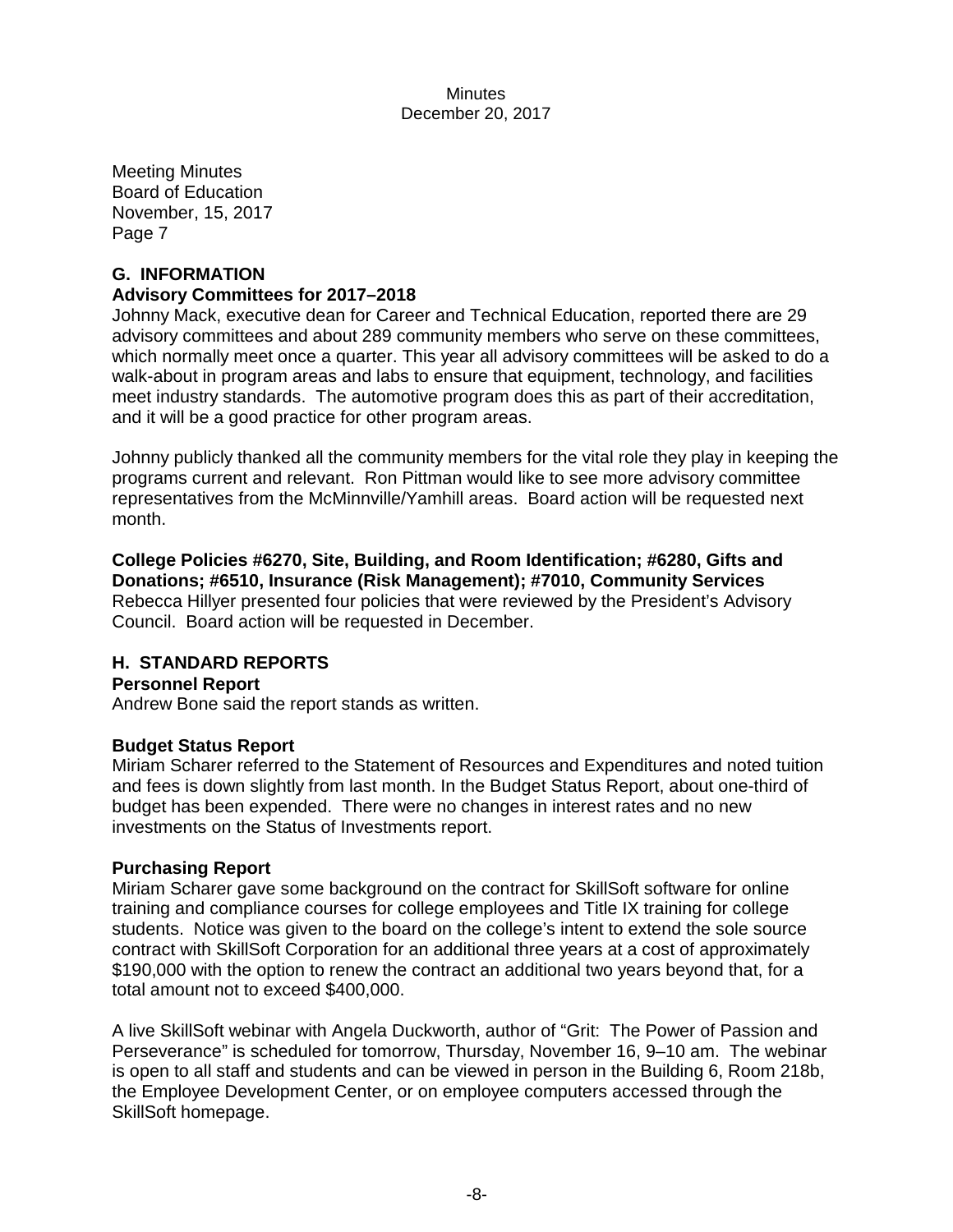# **G. INFORMATION**

# **Advisory Committees for 2017–2018**

Johnny Mack, executive dean for Career and Technical Education, reported there are 29 advisory committees and about 289 community members who serve on these committees, which normally meet once a quarter. This year all advisory committees will be asked to do a walk-about in program areas and labs to ensure that equipment, technology, and facilities meet industry standards. The automotive program does this as part of their accreditation, and it will be a good practice for other program areas.

Johnny publicly thanked all the community members for the vital role they play in keeping the programs current and relevant. Ron Pittman would like to see more advisory committee representatives from the McMinnville/Yamhill areas. Board action will be requested next month.

**College Policies #6270, Site, Building, and Room Identification; #6280, Gifts and Donations; #6510, Insurance (Risk Management); #7010, Community Services** Rebecca Hillyer presented four policies that were reviewed by the President's Advisory Council. Board action will be requested in December.

# **H. STANDARD REPORTS**

# **Personnel Report**

Andrew Bone said the report stands as written.

# **Budget Status Report**

Miriam Scharer referred to the Statement of Resources and Expenditures and noted tuition and fees is down slightly from last month. In the Budget Status Report, about one-third of budget has been expended. There were no changes in interest rates and no new investments on the Status of Investments report.

# **Purchasing Report**

Miriam Scharer gave some background on the contract for SkillSoft software for online training and compliance courses for college employees and Title IX training for college students. Notice was given to the board on the college's intent to extend the sole source contract with SkillSoft Corporation for an additional three years at a cost of approximately \$190,000 with the option to renew the contract an additional two years beyond that, for a total amount not to exceed \$400,000.

A live SkillSoft webinar with Angela Duckworth, author of "Grit: The Power of Passion and Perseverance" is scheduled for tomorrow, Thursday, November 16, 9–10 am. The webinar is open to all staff and students and can be viewed in person in the Building 6, Room 218b, the Employee Development Center, or on employee computers accessed through the SkillSoft homepage.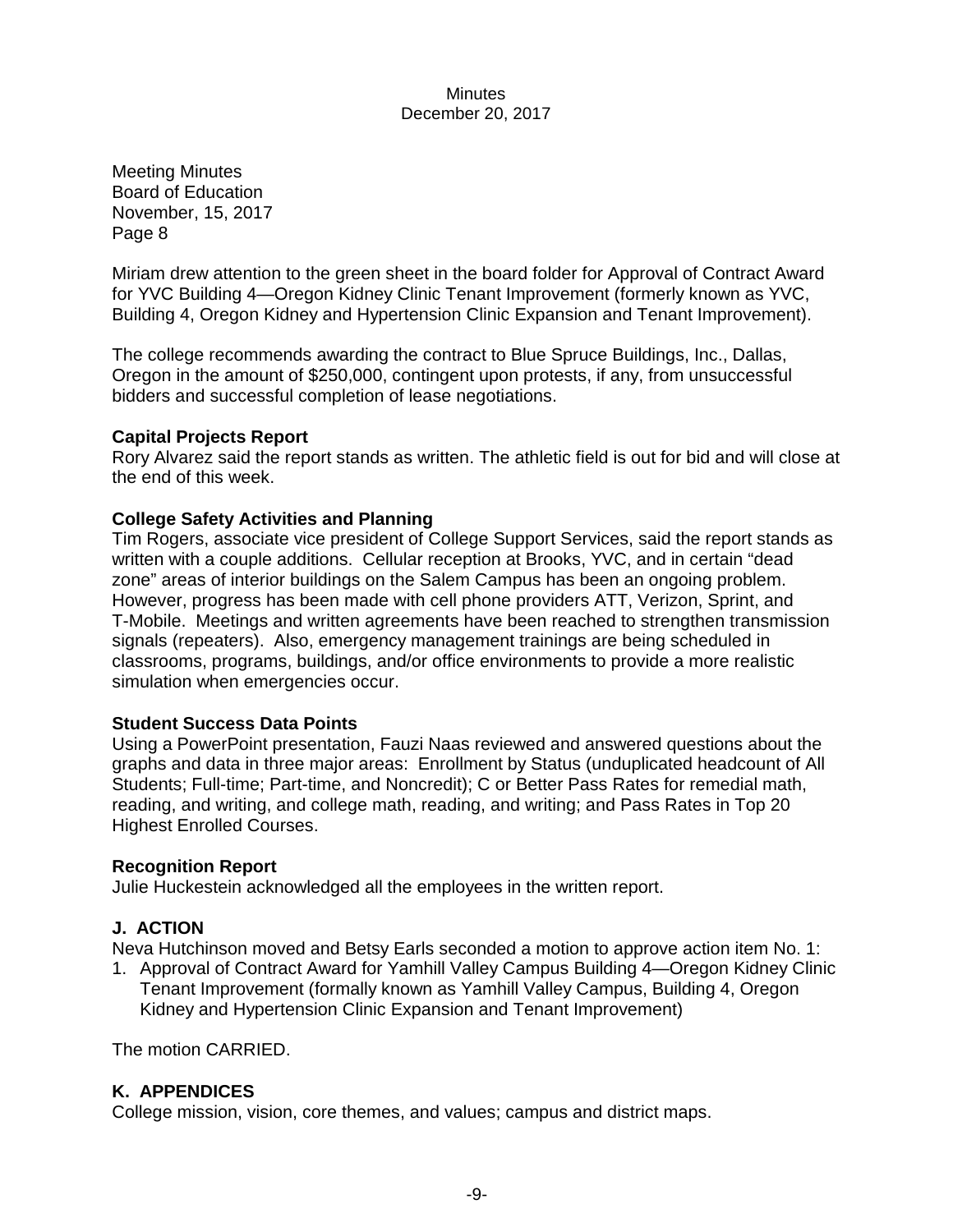Meeting Minutes Board of Education November, 15, 2017 Page 8

Miriam drew attention to the green sheet in the board folder for Approval of Contract Award for YVC Building 4—Oregon Kidney Clinic Tenant Improvement (formerly known as YVC, Building 4, Oregon Kidney and Hypertension Clinic Expansion and Tenant Improvement).

The college recommends awarding the contract to Blue Spruce Buildings, Inc., Dallas, Oregon in the amount of \$250,000, contingent upon protests, if any, from unsuccessful bidders and successful completion of lease negotiations.

#### **Capital Projects Report**

Rory Alvarez said the report stands as written. The athletic field is out for bid and will close at the end of this week.

#### **College Safety Activities and Planning**

Tim Rogers, associate vice president of College Support Services, said the report stands as written with a couple additions. Cellular reception at Brooks, YVC, and in certain "dead zone" areas of interior buildings on the Salem Campus has been an ongoing problem. However, progress has been made with cell phone providers ATT, Verizon, Sprint, and T-Mobile. Meetings and written agreements have been reached to strengthen transmission signals (repeaters). Also, emergency management trainings are being scheduled in classrooms, programs, buildings, and/or office environments to provide a more realistic simulation when emergencies occur.

#### **Student Success Data Points**

Using a PowerPoint presentation, Fauzi Naas reviewed and answered questions about the graphs and data in three major areas: Enrollment by Status (unduplicated headcount of All Students; Full-time; Part-time, and Noncredit); C or Better Pass Rates for remedial math, reading, and writing, and college math, reading, and writing; and Pass Rates in Top 20 Highest Enrolled Courses.

#### **Recognition Report**

Julie Huckestein acknowledged all the employees in the written report.

# **J. ACTION**

Neva Hutchinson moved and Betsy Earls seconded a motion to approve action item No. 1:

1. Approval of Contract Award for Yamhill Valley Campus Building 4—Oregon Kidney Clinic Tenant Improvement (formally known as Yamhill Valley Campus, Building 4, Oregon Kidney and Hypertension Clinic Expansion and Tenant Improvement)

The motion CARRIED.

# **K. APPENDICES**

College mission, vision, core themes, and values; campus and district maps.